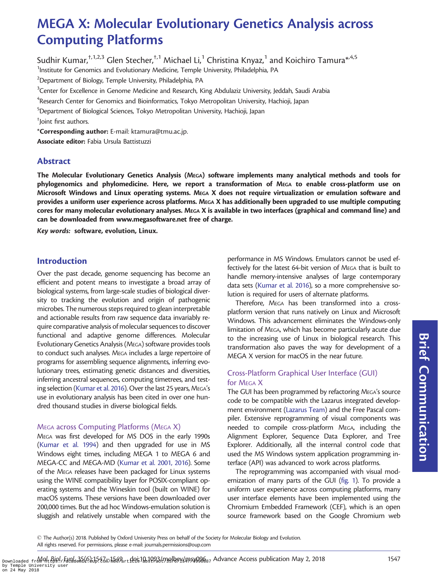# MEGA X: Molecular Evolutionary Genetics Analysis across Computing Platforms

Sudhir Kumar,  $\frac{1}{1,2,3}$  Glen Stecher,  $\frac{1}{1}$  Michael Li,<sup>1</sup> Christina Knyaz,<sup>1</sup> and Koichiro Tamura<sup>\*, 4,5</sup> <sup>1</sup>Institute for Genomics and Evolutionary Medicine, Temple University, Philadelphia, PA  $^{2}$ Department of Biology, Temple University, Philadelphia, PA

 $^3$ Center for Excellence in Genome Medicine and Research, King Abdulaziz University, Jeddah, Saudi Arabia

 ${\rm ^4}$ Research Center for Genomics and Bioinformatics, Tokyo Metropolitan University, Hachioji, Japan

5 Department of Biological Sciences, Tokyo Metropolitan University, Hachioji, Japan

† Joint first authors.

\*Corresponding author: E-mail: ktamura@tmu.ac.jp.

Associate editor: Fabia Ursula Battistuzzi

## Abstract

The Molecular Evolutionary Genetics Analysis (MEGA) software implements many analytical methods and tools for phylogenomics and phylomedicine. Here, we report a transformation of MEGA to enable cross-platform use on Microsoft Windows and Linux operating systems. MEGA X does not require virtualization or emulation software and provides a uniform user experience across platforms. MEGA X has additionally been upgraded to use multiple computing cores for many molecular evolutionary analyses. MEGA X is available in two interfaces (graphical and command line) and can be downloaded from [www.megasoftware.net](http://www.megasoftware.net) free of charge.

Key words: software, evolution, Linux.

## Introduction

Over the past decade, genome sequencing has become an efficient and potent means to investigate a broad array of biological systems, from large-scale studies of biological diversity to tracking the evolution and origin of pathogenic microbes. The numerous steps required to glean interpretable and actionable results from raw sequence data invariably require comparative analysis of molecular sequences to discover functional and adaptive genome differences. Molecular Evolutionary Genetics Analysis (MEGA) software provides tools to conduct such analyses. MEGA includes a large repertoire of programs for assembling sequence alignments, inferring evolutionary trees, estimating genetic distances and diversities, inferring ancestral sequences, computing timetrees, and testing selection [\(Kumar et al. 2016](#page-2-0)). Over the last 25 years, MEGA's use in evolutionary analysis has been cited in over one hundred thousand studies in diverse biological fields.

#### MEGA across Computing Platforms (MEGA X)

MEGA was first developed for MS DOS in the early 1990s ([Kumar et al. 1994\)](#page-2-0) and then upgraded for use in MS Windows eight times, including MEGA 1 to MEGA 6 and MEGA-CC and MEGA-MD ([Kumar et al. 2001, 2016\)](#page-2-0). Some of the MEGA releases have been packaged for Linux systems using the WINE compatibility layer for POSIX-compliant operating systems and the Wineskin tool (built on WINE) for macOS systems. These versions have been downloaded over 200,000 times. But the ad hoc Windows-emulation solution is sluggish and relatively unstable when compared with the

performance in MS Windows. Emulators cannot be used effectively for the latest 64-bit version of MEGA that is built to handle memory-intensive analyses of large contemporary data sets [\(Kumar et al. 2016](#page-2-0)), so a more comprehensive solution is required for users of alternate platforms.

Therefore, MEGA has been transformed into a crossplatform version that runs natively on Linux and Microsoft Windows. This advancement eliminates the Windows-only limitation of MEGA, which has become particularly acute due to the increasing use of Linux in biological research. This transformation also paves the way for development of a MEGA X version for macOS in the near future.

#### Cross-Platform Graphical User Interface (GUI) for MEGA X

The GUI has been programmed by refactoring MEGA's source code to be compatible with the Lazarus integrated development environment ([Lazarus Team\)](#page-2-0) and the Free Pascal compiler. Extensive reprogramming of visual components was needed to compile cross-platform MEGA, including the Alignment Explorer, Sequence Data Explorer, and Tree Explorer. Additionally, all the internal control code that used the MS Windows system application programming interface (API) was advanced to work across platforms.

The reprogramming was accompanied with visual modernization of many parts of the GUI [\(fig. 1](#page-1-0)). To provide a uniform user experience across computing platforms, many user interface elements have been implemented using the Chromium Embedded Framework (CEF), which is an open source framework based on the Google Chromium web Brief Communication

- The Author(s) 2018. Published by Oxford University Press on behalf of the Society for Molecular Biology and Evolution. All rights reserved. For permissions, please e-mail: journals.permissions@oup.com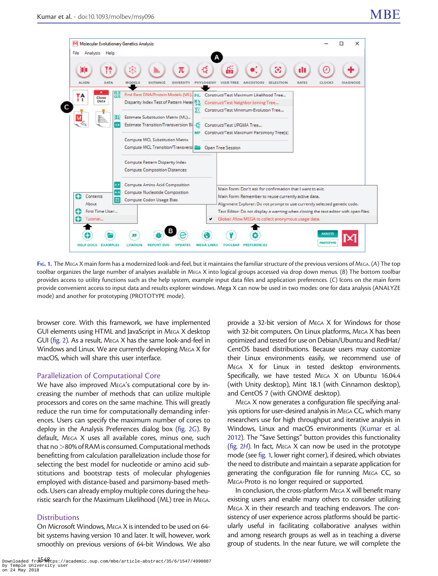<span id="page-1-0"></span>

FIG. 1. The MEGA X main form has a modernized look-and-feel, but it maintains the familiar structure of the previous versions of MEGA. (A) The top toolbar organizes the large number of analyses available in MEGA X into logical groups accessed via drop down menus. (B) The bottom toolbar provides access to utility functions such as the help system, example input data files and application preferences. (C) Icons on the main form provide convenient access to input data and results explorer windows. Mega X can now be used in two modes: one for data analysis (ANALYZE mode) and another for prototyping (PROTOTYPE mode).

browser core. With this framework, we have implemented GUI elements using HTML and JavaScript in MEGA X desktop GUI ([fig. 2](#page-2-0)). As a result, MEGA X has the same look-and-feel in Windows and Linux. We are currently developing MEGA X for macOS, which will share this user interface.

#### Parallelization of Computational Core

We have also improved MEGA's computational core by increasing the number of methods that can utilize multiple processors and cores on the same machine. This will greatly reduce the run time for computationally demanding inferences. Users can specify the maximum number of cores to deploy in the Analysis Preferences dialog box ([fig. 2](#page-2-0)G). By default, MEGA X uses all available cores, minus one, such that no >80% of RAM is consumed. Computational methods benefitting from calculation parallelization include those for selecting the best model for nucleotide or amino acid substitutions and bootstrap tests of molecular phylogenies employed with distance-based and parsimony-based methods. Users can already employ multiple cores during the heuristic search for the Maximum Likelihood (ML) tree in MEGA.

#### **Distributions**

On Microsoft Windows, MEGA X is intended to be used on 64 bit systems having version 10 and later. It will, however, work smoothly on previous versions of 64-bit Windows. We also

Downloaded from  $\frac{1548}{105}$  .//academic.oup.com/mbe/article-abstract/35/6/1547/4990887 by Temple University user on 24 May 2018

provide a 32-bit version of MEGA X for Windows for those with 32-bit computers. On Linux platforms, MEGA X has been optimized and tested for use on Debian/Ubuntu and RedHat/ CentOS based distributions. Because users may customize their Linux environments easily, we recommend use of MEGA X for Linux in tested desktop environments. Specifically, we have tested MEGA X on Ubuntu 16.04.4 (with Unity desktop), Mint 18.1 (with Cinnamon desktop), and CentOS 7 (with GNOME desktop).

MEGA X now generates a configuration file specifying analysis options for user-desired analysis in MEGA CC, which many researchers use for high throughput and iterative analysis in Windows, Linux and macOS environments ([Kumar et al.](#page-2-0) [2012\)](#page-2-0). The "Save Settings" button provides this functionality [\(fig. 2](#page-2-0)H). In fact, MEGA X can now be used in the prototype mode (see fig. 1, lower right corner), if desired, which obviates the need to distribute and maintain a separate application for generating the configuration file for running MEGA CC, so MEGA-Proto is no longer required or supported.

In conclusion, the cross-platform MEGA X will benefit many existing users and enable many others to consider utilizing MEGA X in their research and teaching endeavors. The consistency of user experience across platforms should be particularly useful in facilitating collaborative analyses within and among research groups as well as in teaching a diverse group of students. In the near future, we will complete the